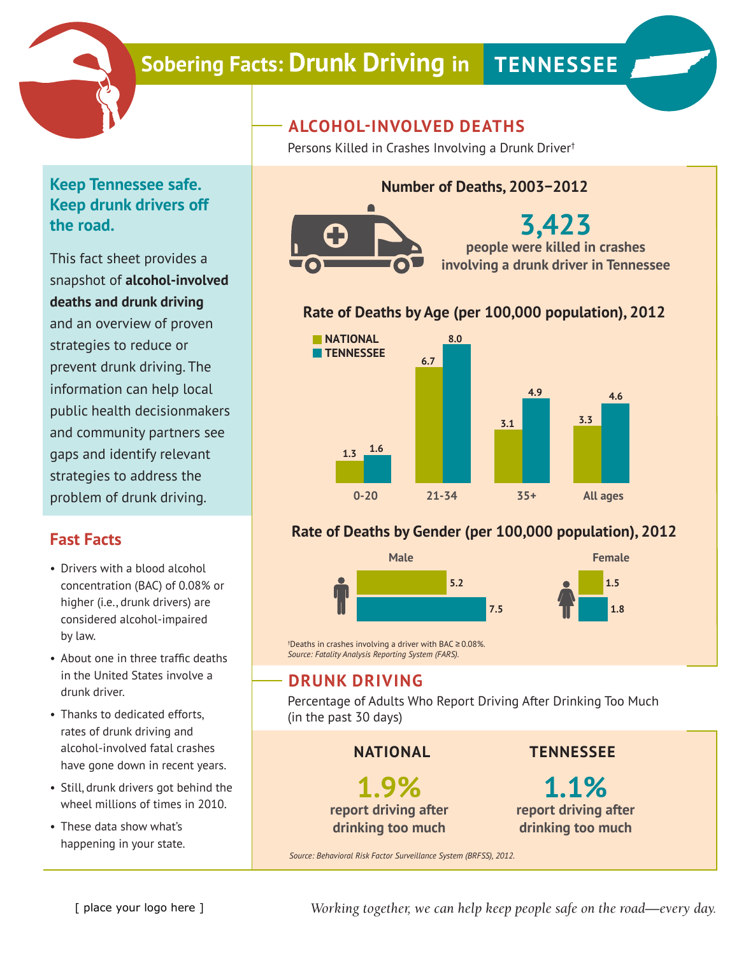

# **Sobering Facts: Drunk Driving in TENNESSEE**

# **Keep Tennessee safe. Keep drunk drivers off the road.**

This fact sheet provides a snapshot of **alcohol-involved deaths and drunk driving** and an overview of proven strategies to reduce or prevent drunk driving. The information can help local public health decisionmakers and community partners see gaps and identify relevant strategies to address the problem of drunk driving.

## **Fast Facts**

- Drivers with a blood alcohol concentration (BAC) of 0.08% or higher (i.e., drunk drivers) are considered alcohol-impaired by law.
- About one in three traffic deaths in the United States involve a drunk driver.
- Thanks to dedicated efforts, rates of drunk driving and alcohol-involved fatal crashes have gone down in recent years.
- Still, drunk drivers got behind the wheel millions of times in 2010.
- These data show what's happening in your state.

# **ALCOHOL-INVOLVED DEATHS**

Persons Killed in Crashes Involving a Drunk Driver†

## **Number of Deaths, 2003−2012**



**3,423 people were killed in crashes involving a drunk driver in Tennessee**

## **Rate of Deaths by Age (per 100,000 population), 2012**



## **Rate of Deaths by Gender (per 100,000 population), 2012**



† Deaths in crashes involving a driver with BAC ≥ 0.08%. *Source: Fatality Analysis Reporting System (FARS).*

## **DRUNK DRIVING**

Percentage of Adults Who Report Driving After Drinking Too Much (in the past 30 days)

#### **NATIONAL**

**1.9% report driving after drinking too much**

## **TENNESSEE**

**1.1% report driving after drinking too much**

*Source: Behavioral Risk Factor Surveillance System (BRFSS), 2012.*

*Working together, we can help keep people safe on the road—every day.*